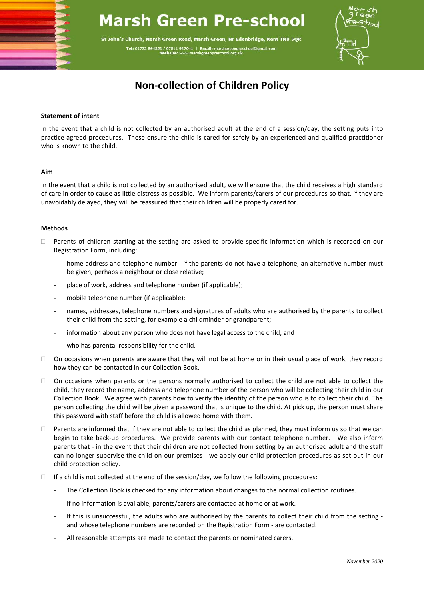# **Marsh Green Pre-school**

St John's Church, Marsh Green Road, Marsh Green, Nr Edenbridge, Kent TN8 5QR Tel: 01732 864553 / 07811 987041 | Ema



## **Non-collection of Children Policy**

### **Statement of intent**

In the event that a child is not collected by an authorised adult at the end of a session/day, the setting puts into practice agreed procedures. These ensure the child is cared for safely by an experienced and qualified practitioner who is known to the child.

### **Aim**

In the event that a child is not collected by an authorised adult, we will ensure that the child receives a high standard of care in order to cause as little distress as possible. We inform parents/carers of our procedures so that, if they are unavoidably delayed, they will be reassured that their children will be properly cared for.

### **Methods**

- $\Box$  Parents of children starting at the setting are asked to provide specific information which is recorded on our Registration Form, including:
	- home address and telephone number if the parents do not have a telephone, an alternative number must be given, perhaps a neighbour or close relative;
	- place of work, address and telephone number (if applicable);
	- mobile telephone number (if applicable);
	- names, addresses, telephone numbers and signatures of adults who are authorised by the parents to collect their child from the setting, for example a childminder or grandparent;
	- information about any person who does not have legal access to the child; and
	- who has parental responsibility for the child.
- $\Box$  On occasions when parents are aware that they will not be at home or in their usual place of work, they record how they can be contacted in our Collection Book.
- $\Box$  On occasions when parents or the persons normally authorised to collect the child are not able to collect the child, they record the name, address and telephone number of the person who will be collecting their child in our Collection Book. We agree with parents how to verify the identity of the person who is to collect their child. The person collecting the child will be given a password that is unique to the child. At pick up, the person must share this password with staff before the child is allowed home with them.
- $\Box$  Parents are informed that if they are not able to collect the child as planned, they must inform us so that we can begin to take back-up procedures. We provide parents with our contact telephone number. We also inform parents that - in the event that their children are not collected from setting by an authorised adult and the staff can no longer supervise the child on our premises - we apply our child protection procedures as set out in our child protection policy.
- $\Box$  If a child is not collected at the end of the session/day, we follow the following procedures:
	- The Collection Book is checked for any information about changes to the normal collection routines.
	- If no information is available, parents/carers are contacted at home or at work.
	- If this is unsuccessful, the adults who are authorised by the parents to collect their child from the setting and whose telephone numbers are recorded on the Registration Form - are contacted.
	- All reasonable attempts are made to contact the parents or nominated carers.